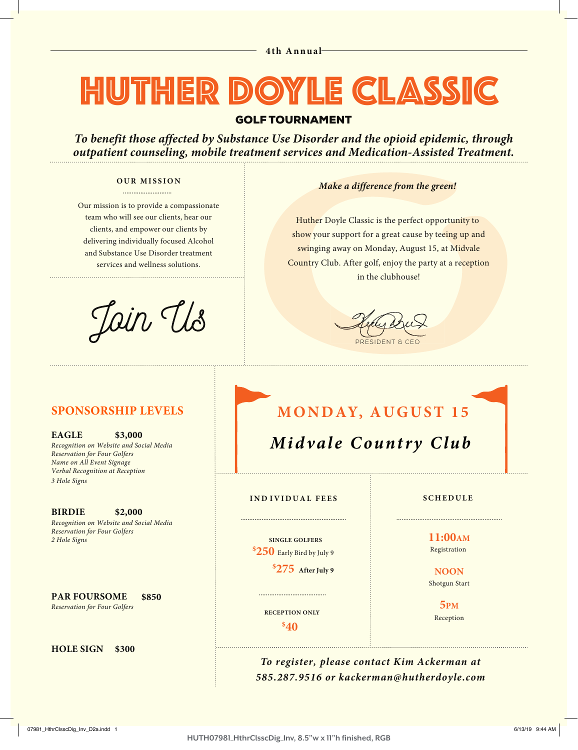## HUTHER DOYLE CLASSIC

## GOLF TOURNAMENT

*To benefit those affected by Substance Use Disorder and the opioid epidemic, through outpatient counseling, mobile treatment services and Medication-Assisted Treatment.*

#### **OUR MISSION** .........................

Our mission is to provide a compassionate team who will see our clients, hear our clients, and empower our clients by delivering individually focused Alcohol and Substance Use Disorder treatment services and wellness solutions.

Jain Us

### *Make a difference from the green!*

Huther Doyle Classic is the perfect opportunity to show your support for a great cause by teeing up and swinging away on Monday, August 15, at Midvale Country Club. After golf, enjoy the party at a reception in the clubhouse!

PRESIDENT & CEO

## **SPONSORSHIP LEVELS**

**EAGLE \$3,000**  *Recognition on Website and Social Media Reservation for Four Golfers Name on All Event Signage Verbal Recognition at Reception 3 Hole Signs*

**BIRDIE \$2,000** *Recognition on Website and Social Media Reservation for Four Golfers 2 Hole Signs*

**PAR FOURSOME \$850** *Reservation for Four Golfers*

**HOLE SIGN \$300**

## **MONDAY, AUGUST 15**

*Midvale Country Club*

### **IND IVIDUAL FEES SCHEDULE**

 **SINGLE GOLFERS \$250** Early Bird by July <sup>9</sup>

**\$275 After July <sup>9</sup>**

**11:00AM** Registration

**NOON** Shotgun Start

> **5PM** Reception

**\$40 RECEPTION ONLY**

*To register, please contact Kim Ackerman at 585.287.9516 or kackerman@hutherdoyle.com*